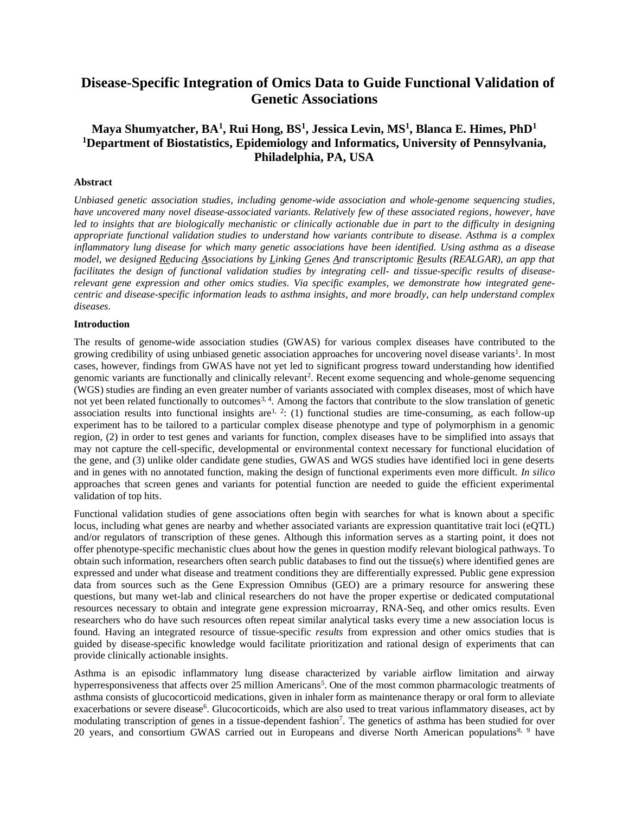# **Disease-Specific Integration of Omics Data to Guide Functional Validation of Genetic Associations**

## **Maya Shumyatcher, BA<sup>1</sup> , Rui Hong, BS<sup>1</sup> , Jessica Levin, MS<sup>1</sup> , Blanca E. Himes, PhD<sup>1</sup> <sup>1</sup>Department of Biostatistics, Epidemiology and Informatics, University of Pennsylvania, Philadelphia, PA, USA**

#### **Abstract**

*Unbiased genetic association studies, including genome-wide association and whole-genome sequencing studies, have uncovered many novel disease-associated variants. Relatively few of these associated regions, however, have led to insights that are biologically mechanistic or clinically actionable due in part to the difficulty in designing appropriate functional validation studies to understand how variants contribute to disease. Asthma is a complex inflammatory lung disease for which many genetic associations have been identified. Using asthma as a disease model, we designed Reducing Associations by Linking Genes And transcriptomic Results (REALGAR), an app that facilitates the design of functional validation studies by integrating cell- and tissue-specific results of diseaserelevant gene expression and other omics studies. Via specific examples, we demonstrate how integrated genecentric and disease-specific information leads to asthma insights, and more broadly, can help understand complex diseases.*

#### **Introduction**

The results of genome-wide association studies (GWAS) for various complex diseases have contributed to the growing credibility of using unbiased genetic association approaches for uncovering novel disease variants<sup>1</sup>. In most cases, however, findings from GWAS have not yet led to significant progress toward understanding how identified genomic variants are functionally and clinically relevant<sup>2</sup>. Recent exome sequencing and whole-genome sequencing (WGS) studies are finding an even greater number of variants associated with complex diseases, most of which have not yet been related functionally to outcomes<sup>3, 4</sup>. Among the factors that contribute to the slow translation of genetic association results into functional insights are  $1, 2$ : (1) functional studies are time-consuming, as each follow-up experiment has to be tailored to a particular complex disease phenotype and type of polymorphism in a genomic region, (2) in order to test genes and variants for function, complex diseases have to be simplified into assays that may not capture the cell-specific, developmental or environmental context necessary for functional elucidation of the gene, and (3) unlike older candidate gene studies, GWAS and WGS studies have identified loci in gene deserts and in genes with no annotated function, making the design of functional experiments even more difficult. *In silico* approaches that screen genes and variants for potential function are needed to guide the efficient experimental validation of top hits.

Functional validation studies of gene associations often begin with searches for what is known about a specific locus, including what genes are nearby and whether associated variants are expression quantitative trait loci (eQTL) and/or regulators of transcription of these genes. Although this information serves as a starting point, it does not offer phenotype-specific mechanistic clues about how the genes in question modify relevant biological pathways. To obtain such information, researchers often search public databases to find out the tissue(s) where identified genes are expressed and under what disease and treatment conditions they are differentially expressed. Public gene expression data from sources such as the Gene Expression Omnibus (GEO) are a primary resource for answering these questions, but many wet-lab and clinical researchers do not have the proper expertise or dedicated computational resources necessary to obtain and integrate gene expression microarray, RNA-Seq, and other omics results. Even researchers who do have such resources often repeat similar analytical tasks every time a new association locus is found. Having an integrated resource of tissue-specific *results* from expression and other omics studies that is guided by disease-specific knowledge would facilitate prioritization and rational design of experiments that can provide clinically actionable insights.

Asthma is an episodic inflammatory lung disease characterized by variable airflow limitation and airway hyperresponsiveness that affects over 25 million Americans<sup>5</sup>. One of the most common pharmacologic treatments of asthma consists of glucocorticoid medications, given in inhaler form as maintenance therapy or oral form to alleviate exacerbations or severe disease<sup>6</sup>. Glucocorticoids, which are also used to treat various inflammatory diseases, act by modulating transcription of genes in a tissue-dependent fashion<sup>7</sup>. The genetics of asthma has been studied for over 20 years, and consortium GWAS carried out in Europeans and diverse North American populations<sup>8, 9</sup> have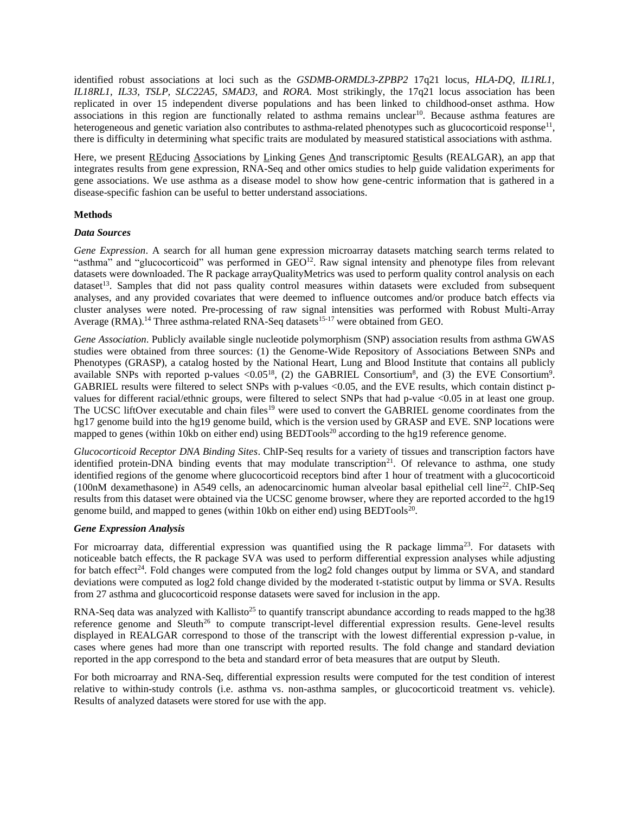identified robust associations at loci such as the *GSDMB-ORMDL3-ZPBP2* 17q21 locus, *HLA-DQ, IL1RL1, IL18RL1, IL33, TSLP, SLC22A5, SMAD3,* and *RORA*. Most strikingly, the 17q21 locus association has been replicated in over 15 independent diverse populations and has been linked to childhood-onset asthma. How associations in this region are functionally related to asthma remains unclear<sup>10</sup>. Because asthma features are heterogeneous and genetic variation also contributes to asthma-related phenotypes such as glucocorticoid response<sup>11</sup>, there is difficulty in determining what specific traits are modulated by measured statistical associations with asthma.

Here, we present REducing Associations by Linking Genes And transcriptomic Results (REALGAR), an app that integrates results from gene expression, RNA-Seq and other omics studies to help guide validation experiments for gene associations. We use asthma as a disease model to show how gene-centric information that is gathered in a disease-specific fashion can be useful to better understand associations.

## **Methods**

#### *Data Sources*

*Gene Expression*. A search for all human gene expression microarray datasets matching search terms related to "asthma" and "glucocorticoid" was performed in GEO<sup>12</sup>. Raw signal intensity and phenotype files from relevant datasets were downloaded. The R package arrayQualityMetrics was used to perform quality control analysis on each dataset<sup>13</sup>. Samples that did not pass quality control measures within datasets were excluded from subsequent analyses, and any provided covariates that were deemed to influence outcomes and/or produce batch effects via cluster analyses were noted. Pre-processing of raw signal intensities was performed with Robust Multi-Array Average (RMA).<sup>14</sup> Three asthma-related RNA-Seq datasets<sup>15-17</sup> were obtained from GEO.

*Gene Association*. Publicly available single nucleotide polymorphism (SNP) association results from asthma GWAS studies were obtained from three sources: (1) the Genome-Wide Repository of Associations Between SNPs and Phenotypes (GRASP), a catalog hosted by the National Heart, Lung and Blood Institute that contains all publicly available SNPs with reported p-values < $0.05^{18}$ , (2) the GABRIEL Consortium<sup>8</sup>, and (3) the EVE Consortium<sup>9</sup>. GABRIEL results were filtered to select SNPs with p-values <0.05, and the EVE results, which contain distinct pvalues for different racial/ethnic groups, were filtered to select SNPs that had p-value <0.05 in at least one group. The UCSC liftOver executable and chain files<sup>19</sup> were used to convert the GABRIEL genome coordinates from the hg17 genome build into the hg19 genome build, which is the version used by GRASP and EVE. SNP locations were mapped to genes (within 10kb on either end) using  $BEDTools^{20}$  according to the hg19 reference genome.

*Glucocorticoid Receptor DNA Binding Sites*. ChIP-Seq results for a variety of tissues and transcription factors have identified protein-DNA binding events that may modulate transcription<sup>21</sup>. Of relevance to asthma, one study identified regions of the genome where glucocorticoid receptors bind after 1 hour of treatment with a glucocorticoid (100nM dexamethasone) in A549 cells, an adenocarcinomic human alveolar basal epithelial cell line<sup>22</sup>. ChIP-Seq results from this dataset were obtained via the UCSC genome browser, where they are reported accorded to the hg19 genome build, and mapped to genes (within 10kb on either end) using  $BEDTools^{20}$ .

#### *Gene Expression Analysis*

For microarray data, differential expression was quantified using the R package limma<sup>23</sup>. For datasets with noticeable batch effects, the R package SVA was used to perform differential expression analyses while adjusting for batch effect<sup>24</sup>. Fold changes were computed from the  $log2$  fold changes output by limma or SVA, and standard deviations were computed as log2 fold change divided by the moderated t-statistic output by limma or SVA. Results from 27 asthma and glucocorticoid response datasets were saved for inclusion in the app.

RNA-Seq data was analyzed with Kallisto<sup>25</sup> to quantify transcript abundance according to reads mapped to the hg38 reference genome and Sleuth<sup>26</sup> to compute transcript-level differential expression results. Gene-level results displayed in REALGAR correspond to those of the transcript with the lowest differential expression p-value, in cases where genes had more than one transcript with reported results. The fold change and standard deviation reported in the app correspond to the beta and standard error of beta measures that are output by Sleuth.

For both microarray and RNA-Seq, differential expression results were computed for the test condition of interest relative to within-study controls (i.e. asthma vs. non-asthma samples, or glucocorticoid treatment vs. vehicle). Results of analyzed datasets were stored for use with the app.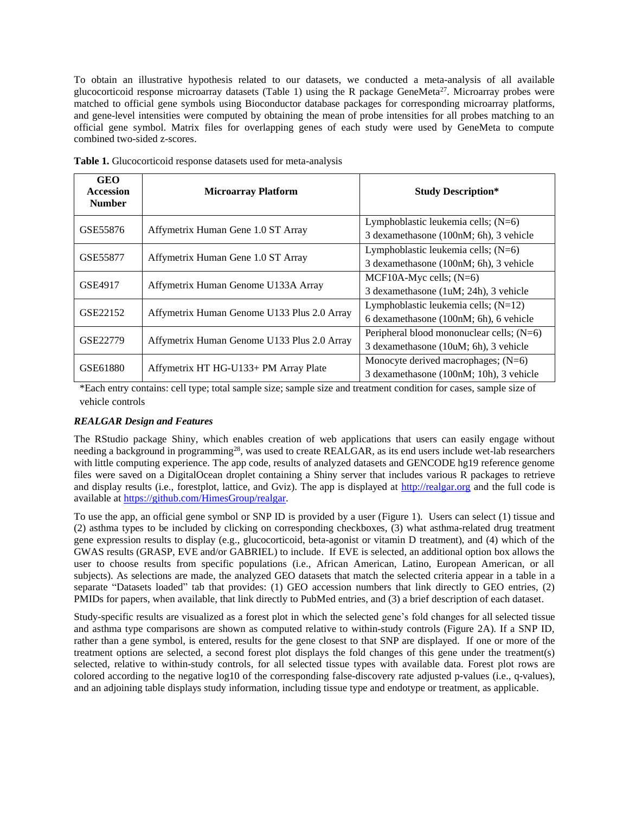To obtain an illustrative hypothesis related to our datasets, we conducted a meta-analysis of all available glucocorticoid response microarray datasets (Table 1) using the R package GeneMeta<sup>27</sup>. Microarray probes were matched to official gene symbols using Bioconductor database packages for corresponding microarray platforms, and gene-level intensities were computed by obtaining the mean of probe intensities for all probes matching to an official gene symbol. Matrix files for overlapping genes of each study were used by GeneMeta to compute combined two-sided z-scores.

| <b>GEO</b><br>Accession<br><b>Number</b> | <b>Microarray Platform</b>                  | <b>Study Description*</b>                   |
|------------------------------------------|---------------------------------------------|---------------------------------------------|
| GSE55876                                 | Affymetrix Human Gene 1.0 ST Array          | Lymphoblastic leukemia cells; $(N=6)$       |
|                                          |                                             | 3 dexamethasone (100nM; 6h), 3 vehicle      |
| GSE55877                                 | Affymetrix Human Gene 1.0 ST Array          | Lymphoblastic leukemia cells; $(N=6)$       |
|                                          |                                             | 3 dexamethasone (100nM; 6h), 3 vehicle      |
| GSE4917                                  | Affymetrix Human Genome U133A Array         | MCF10A-Myc cells; $(N=6)$                   |
|                                          |                                             | 3 dexamethasone (1uM; 24h), 3 vehicle       |
| GSE22152                                 | Affymetrix Human Genome U133 Plus 2.0 Array | Lymphoblastic leukemia cells; $(N=12)$      |
|                                          |                                             | 6 dexamethasone (100nM; 6h), 6 vehicle      |
| GSE22779                                 | Affymetrix Human Genome U133 Plus 2.0 Array | Peripheral blood mononuclear cells; $(N=6)$ |
|                                          |                                             | 3 dexamethasone (10uM; 6h), 3 vehicle       |
| GSE61880                                 |                                             | Monocyte derived macrophages; $(N=6)$       |
|                                          | Affymetrix HT HG-U133+ PM Array Plate       | 3 dexamethasone (100nM; 10h), 3 vehicle     |

**Table 1.** Glucocorticoid response datasets used for meta-analysis

\*Each entry contains: cell type; total sample size; sample size and treatment condition for cases, sample size of vehicle controls

## *REALGAR Design and Features*

The RStudio package Shiny, which enables creation of web applications that users can easily engage without needing a background in programming<sup>28</sup>, was used to create REALGAR, as its end users include wet-lab researchers with little computing experience. The app code, results of analyzed datasets and GENCODE hg19 reference genome files were saved on a DigitalOcean droplet containing a Shiny server that includes various R packages to retrieve and display results (i.e., forestplot, lattice, and Gviz). The app is displayed at http://realgar.org and the full code is available a[t https://github.com/HimesGroup/realgar.](https://github.com/HimesGroup/realgar) 

To use the app, an official gene symbol or SNP ID is provided by a user (Figure 1). Users can select (1) tissue and (2) asthma types to be included by clicking on corresponding checkboxes, (3) what asthma-related drug treatment gene expression results to display (e.g., glucocorticoid, beta-agonist or vitamin D treatment), and (4) which of the GWAS results (GRASP, EVE and/or GABRIEL) to include. If EVE is selected, an additional option box allows the user to choose results from specific populations (i.e., African American, Latino, European American, or all subjects). As selections are made, the analyzed GEO datasets that match the selected criteria appear in a table in a separate "Datasets loaded" tab that provides: (1) GEO accession numbers that link directly to GEO entries, (2) PMIDs for papers, when available, that link directly to PubMed entries, and (3) a brief description of each dataset.

Study-specific results are visualized as a forest plot in which the selected gene's fold changes for all selected tissue and asthma type comparisons are shown as computed relative to within-study controls (Figure 2A). If a SNP ID, rather than a gene symbol, is entered, results for the gene closest to that SNP are displayed. If one or more of the treatment options are selected, a second forest plot displays the fold changes of this gene under the treatment(s) selected, relative to within-study controls, for all selected tissue types with available data. Forest plot rows are colored according to the negative log10 of the corresponding false-discovery rate adjusted p-values (i.e., q-values), and an adjoining table displays study information, including tissue type and endotype or treatment, as applicable.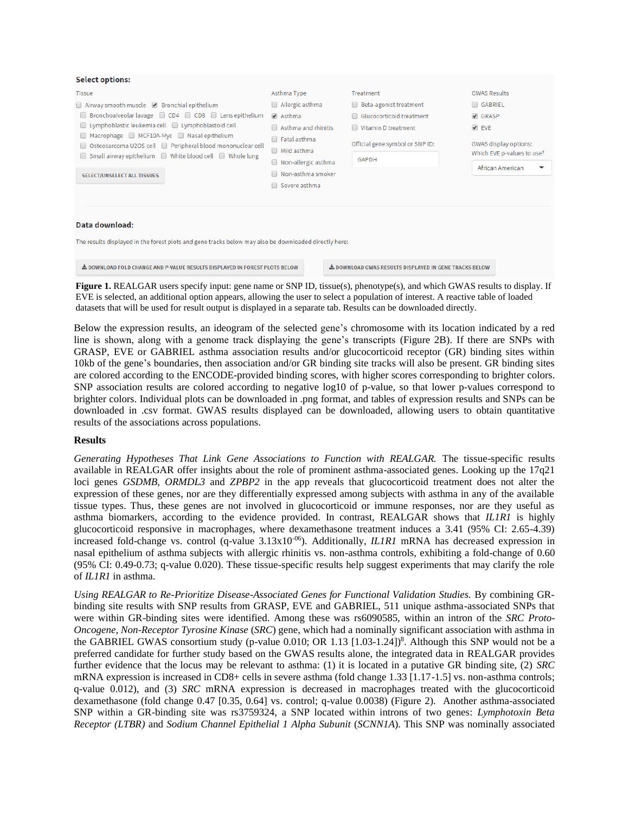| <b>Select options:</b>                                                                                                                                                                                                                                                                                                                                                                       |                                                                                                                                                                                     |                                                                                                                                |                                                                                                                             |  |  |  |
|----------------------------------------------------------------------------------------------------------------------------------------------------------------------------------------------------------------------------------------------------------------------------------------------------------------------------------------------------------------------------------------------|-------------------------------------------------------------------------------------------------------------------------------------------------------------------------------------|--------------------------------------------------------------------------------------------------------------------------------|-----------------------------------------------------------------------------------------------------------------------------|--|--|--|
| <b>Tissue</b>                                                                                                                                                                                                                                                                                                                                                                                | Asthma Type                                                                                                                                                                         | Treatment                                                                                                                      | <b>GWAS Results</b>                                                                                                         |  |  |  |
| Airway smooth muscle 2 Bronchial epithelium<br>Bronchoalveolar lavage $\Box$ CD4 $\Box$ CD8 $\Box$ Lens epithelium<br>$\Box$ Lymphoblastic leukemia cell $\Box$ Lymphoblastoid cell<br>Macrophage MCF10A-Myc Nasal epithelium<br>Osteosarcoma U2OS cell   Peripheral blood mononuclear cell<br>Small airway epithelium ■ White blood cell ■ Whole lung<br><b>SELECT/UNSELECT ALL TISSUES</b> | $\Box$ Allergic asthma<br>$\blacktriangleright$ Asthma<br>Asthma and rhinitis<br>Fatal asthma<br>$\Box$<br>Mild asthma<br>Non-allergic asthma<br>Non-asthma smoker<br>Severe asthma | Beta-agonist treatment<br>□ Glucocorticoid treatment<br>Vitamin D treatment<br>Official gene symbol or SNP ID:<br><b>GAPDH</b> | GABRIEL<br>$\triangleleft$ GRASP<br>$\blacktriangleright$ EVE<br><b>GWAS display options:</b><br>Which EVE p-values to use? |  |  |  |
|                                                                                                                                                                                                                                                                                                                                                                                              |                                                                                                                                                                                     |                                                                                                                                | African American                                                                                                            |  |  |  |
| Data download:<br>The results displayed in the forest plots and gene tracks below may also be downloaded directly here:                                                                                                                                                                                                                                                                      |                                                                                                                                                                                     |                                                                                                                                |                                                                                                                             |  |  |  |
| ▲ DOWNLOAD FOLD CHANGE AND P-VALUE RESULTS DISPLAYED IN FOREST PLOTS BELOW<br>LOWNLOAD GWAS RESULTS DISPLAYED IN GENE TRACKS BELOW                                                                                                                                                                                                                                                           |                                                                                                                                                                                     |                                                                                                                                |                                                                                                                             |  |  |  |

**Figure 1.** REALGAR users specify input: gene name or SNP ID, tissue(s), phenotype(s), and which GWAS results to display. If EVE is selected, an additional option appears, allowing the user to select a population of interest. A reactive table of loaded datasets that will be used for result output is displayed in a separate tab. Results can be downloaded directly.

Below the expression results, an ideogram of the selected gene's chromosome with its location indicated by a red line is shown, along with a genome track displaying the gene's transcripts (Figure 2B). If there are SNPs with GRASP, EVE or GABRIEL asthma association results and/or glucocorticoid receptor (GR) binding sites within 10kb of the gene's boundaries, then association and/or GR binding site tracks will also be present. GR binding sites are colored according to the ENCODE-provided binding scores, with higher scores corresponding to brighter colors. SNP association results are colored according to negative log10 of p-value, so that lower p-values correspond to brighter colors. Individual plots can be downloaded in .png format, and tables of expression results and SNPs can be downloaded in .csv format. GWAS results displayed can be downloaded, allowing users to obtain quantitative results of the associations across populations.

#### **Results**

*Generating Hypotheses That Link Gene Associations to Function with REALGAR.* The tissue-specific results available in REALGAR offer insights about the role of prominent asthma-associated genes. Looking up the 17q21 loci genes *GSDMB*, *ORMDL3* and *ZPBP2* in the app reveals that glucocorticoid treatment does not alter the expression of these genes, nor are they differentially expressed among subjects with asthma in any of the available tissue types. Thus, these genes are not involved in glucocorticoid or immune responses, nor are they useful as asthma biomarkers, according to the evidence provided. In contrast, REALGAR shows that *IL1R1* is highly glucocorticoid responsive in macrophages, where dexamethasone treatment induces a 3.41 (95% CI: 2.65-4.39) increased fold-change vs. control (q-value 3.13x10<sup>-06</sup>). Additionally, *IL1R1* mRNA has decreased expression in nasal epithelium of asthma subjects with allergic rhinitis vs. non-asthma controls, exhibiting a fold-change of 0.60 (95% CI: 0.49-0.73; q-value 0.020). These tissue-specific results help suggest experiments that may clarify the role of *IL1R1* in asthma.

*Using REALGAR to Re-Prioritize Disease-Associated Genes for Functional Validation Studies.* By combining GRbinding site results with SNP results from GRASP, EVE and GABRIEL, 511 unique asthma-associated SNPs that were within GR-binding sites were identified. Among these was rs6090585, within an intron of the *SRC Proto-Oncogene, Non-Receptor Tyrosine Kinase* (*SRC*) gene, which had a nominally significant association with asthma in the GABRIEL GWAS consortium study (p-value 0.010; OR 1.13 [1.03-1.24])<sup>8</sup>. Although this SNP would not be a preferred candidate for further study based on the GWAS results alone, the integrated data in REALGAR provides further evidence that the locus may be relevant to asthma: (1) it is located in a putative GR binding site, (2) *SRC* mRNA expression is increased in CD8+ cells in severe asthma (fold change 1.33 [1.17-1.5] vs. non-asthma controls; q-value 0.012), and (3) *SRC* mRNA expression is decreased in macrophages treated with the glucocorticoid dexamethasone (fold change 0.47 [0.35, 0.64] vs. control; q-value 0.0038) (Figure 2). Another asthma-associated SNP within a GR-binding site was rs3759324, a SNP located within introns of two genes: *Lymphotoxin Beta Receptor (LTBR)* and *Sodium Channel Epithelial 1 Alpha Subunit* (*SCNN1A*). This SNP was nominally associated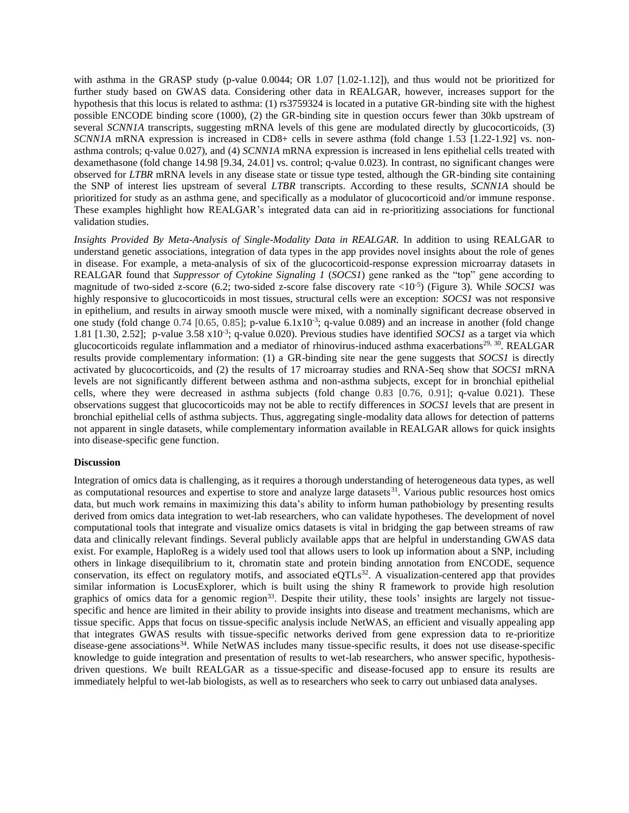with asthma in the GRASP study (p-value 0.0044; OR 1.07 [1.02-1.12]), and thus would not be prioritized for further study based on GWAS data. Considering other data in REALGAR, however, increases support for the hypothesis that this locus is related to asthma: (1) rs3759324 is located in a putative GR-binding site with the highest possible ENCODE binding score (1000), (2) the GR-binding site in question occurs fewer than 30kb upstream of several *SCNN1A* transcripts, suggesting mRNA levels of this gene are modulated directly by glucocorticoids, (3) *SCNN1A* mRNA expression is increased in CD8+ cells in severe asthma (fold change 1.53 [1.22-1.92] vs. nonasthma controls; q-value 0.027), and (4) *SCNN1A* mRNA expression is increased in lens epithelial cells treated with dexamethasone (fold change 14.98 [9.34, 24.01] vs. control; q-value 0.023). In contrast, no significant changes were observed for *LTBR* mRNA levels in any disease state or tissue type tested, although the GR-binding site containing the SNP of interest lies upstream of several *LTBR* transcripts. According to these results, *SCNN1A* should be prioritized for study as an asthma gene, and specifically as a modulator of glucocorticoid and/or immune response. These examples highlight how REALGAR's integrated data can aid in re-prioritizing associations for functional validation studies.

*Insights Provided By Meta-Analysis of Single-Modality Data in REALGAR.* In addition to using REALGAR to understand genetic associations, integration of data types in the app provides novel insights about the role of genes in disease. For example, a meta-analysis of six of the glucocorticoid-response expression microarray datasets in REALGAR found that *Suppressor of Cytokine Signaling 1* (*SOCS1*) gene ranked as the "top" gene according to magnitude of two-sided z-score (6.2; two-sided z-score false discovery rate <10-5 ) (Figure 3). While *SOCS1* was highly responsive to glucocorticoids in most tissues, structural cells were an exception: *SOCS1* was not responsive in epithelium, and results in airway smooth muscle were mixed, with a nominally significant decrease observed in one study (fold change  $0.74$  [0.65, 0.85]; p-value  $6.1x10^{-3}$ ; q-value 0.089) and an increase in another (fold change 1.81 [1.30, 2.52]; p-value 3.58 x10<sup>-3</sup>; q-value 0.020). Previous studies have identified *SOCS1* as a target via which glucocorticoids regulate inflammation and a mediator of rhinovirus-induced asthma exacerbations<sup>29, 30</sup>. REALGAR results provide complementary information: (1) a GR-binding site near the gene suggests that *SOCS1* is directly activated by glucocorticoids, and (2) the results of 17 microarray studies and RNA-Seq show that *SOCS1* mRNA levels are not significantly different between asthma and non-asthma subjects, except for in bronchial epithelial cells, where they were decreased in asthma subjects (fold change 0.83 [0.76, 0.91]; q-value 0.021). These observations suggest that glucocorticoids may not be able to rectify differences in *SOCS1* levels that are present in bronchial epithelial cells of asthma subjects. Thus, aggregating single-modality data allows for detection of patterns not apparent in single datasets, while complementary information available in REALGAR allows for quick insights into disease-specific gene function.

#### **Discussion**

Integration of omics data is challenging, as it requires a thorough understanding of heterogeneous data types, as well as computational resources and expertise to store and analyze large datasets<sup>31</sup>. Various public resources host omics data, but much work remains in maximizing this data's ability to inform human pathobiology by presenting results derived from omics data integration to wet-lab researchers, who can validate hypotheses. The development of novel computational tools that integrate and visualize omics datasets is vital in bridging the gap between streams of raw data and clinically relevant findings. Several publicly available apps that are helpful in understanding GWAS data exist. For example, HaploReg is a widely used tool that allows users to look up information about a SNP, including others in linkage disequilibrium to it, chromatin state and protein binding annotation from ENCODE, sequence conservation, its effect on regulatory motifs, and associated  $eQTLs<sup>32</sup>$ . A visualization-centered app that provides similar information is LocusExplorer, which is built using the shiny R framework to provide high resolution graphics of omics data for a genomic region<sup>33</sup>. Despite their utility, these tools' insights are largely not tissuespecific and hence are limited in their ability to provide insights into disease and treatment mechanisms, which are tissue specific. Apps that focus on tissue-specific analysis include NetWAS, an efficient and visually appealing app that integrates GWAS results with tissue-specific networks derived from gene expression data to re-prioritize disease-gene associations<sup>34</sup>. While NetWAS includes many tissue-specific results, it does not use disease-specific knowledge to guide integration and presentation of results to wet-lab researchers, who answer specific, hypothesisdriven questions. We built REALGAR as a tissue-specific and disease-focused app to ensure its results are immediately helpful to wet-lab biologists, as well as to researchers who seek to carry out unbiased data analyses.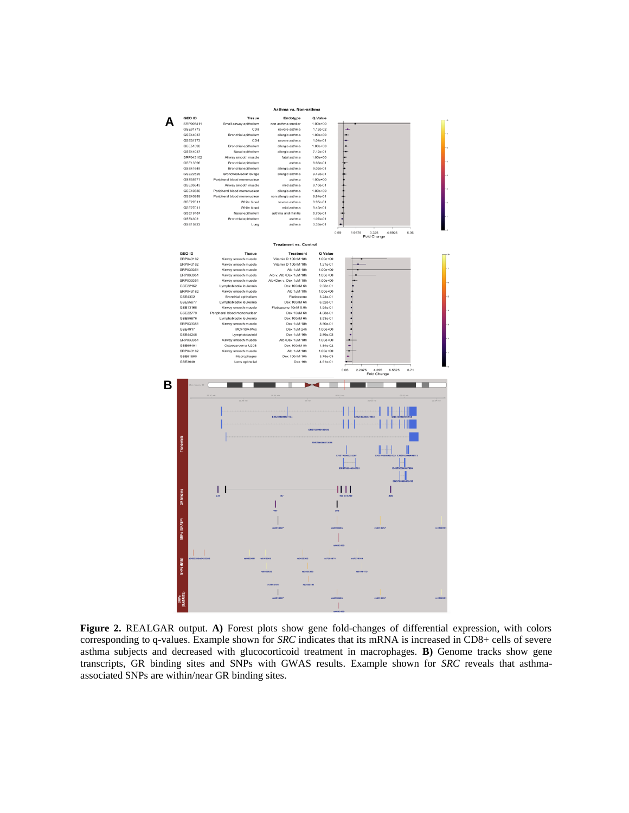

**Figure 2.** REALGAR output. **A)** Forest plots show gene fold-changes of differential expression, with colors corresponding to q-values. Example shown for *SRC* indicates that its mRNA is increased in CD8+ cells of severe asthma subjects and decreased with glucocorticoid treatment in macrophages. **B)** Genome tracks show gene transcripts, GR binding sites and SNPs with GWAS results. Example shown for *SRC* reveals that asthmaassociated SNPs are within/near GR binding sites.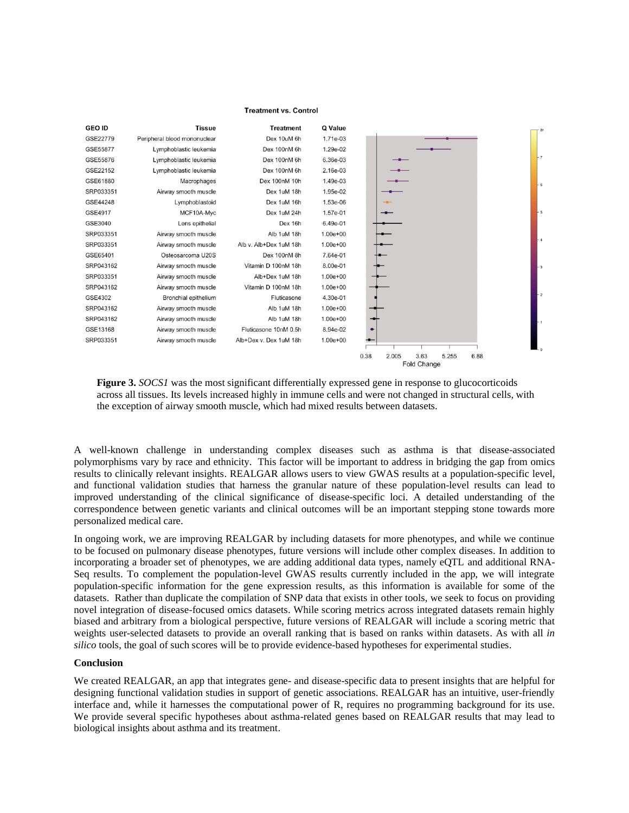#### **Treatment vs. Control**

| <b>GEO ID</b> | <b>Tissue</b>                | <b>Treatment</b>       | Q Value      |                                                              |         |
|---------------|------------------------------|------------------------|--------------|--------------------------------------------------------------|---------|
| GSE22779      | Peripheral blood mononuclear | Dex 10uM 6h            | 1.71e-03     |                                                              |         |
| GSE55877      | Lymphoblastic leukemia       | Dex 100nM 6h           | 1.29e-02     |                                                              |         |
| GSE55876      | Lymphoblastic leukemia       | Dex 100nM 6h           | 6.36e-03     |                                                              | $+7$    |
| GSE22152      | Lymphoblastic leukemia       | Dex 100nM 6h           | 2.16e-03     |                                                              |         |
| GSE61880      | Macrophages                  | Dex 100nM 10h          | 1.49e-03     |                                                              | $-6$    |
| SRP033351     | Airway smooth muscle         | Dex 1uM 18h            | 1.95e-02     |                                                              |         |
| GSE44248      | Lymphoblastoid               | Dex 1uM 16h            | 1.53e-06     |                                                              |         |
| GSE4917       | MCF10A-Myc                   | Dex 1uM 24h            | 1.57e-01     |                                                              | $F_{5}$ |
| GSE3040       | Lens epithelial              | Dex 16h                | 6.49e-01     |                                                              |         |
| SRP033351     | Airway smooth muscle         | Alb 1uM 18h            | $1.00e + 00$ |                                                              |         |
| SRP033351     | Airway smooth muscle         | Alb v. Alb+Dex 1uM 18h | $1.00e + 00$ |                                                              |         |
| GSE65401      | Osteosarcoma U20S            | Dex 100nM 8h           | 7.64e-01     |                                                              |         |
| SRP043162     | Airway smooth muscle         | Vitamin D 100nM 18h    | 8.00e-01     |                                                              | $-3$    |
| SRP033351     | Airway smooth muscle         | Alb+Dex 1uM 18h        | $1.00e + 00$ |                                                              |         |
| SRP043162     | Airway smooth muscle         | Vitamin D 100nM 18h    | $1.00e + 00$ |                                                              |         |
| GSE4302       | Bronchial epithelium         | Fluticasone            | 4.30e-01     |                                                              | - 2     |
| SRP043162     | Airway smooth muscle         | Alb 1uM 18h            | $1.00e + 00$ |                                                              |         |
| SRP043162     | Airway smooth muscle         | Alb 1uM 18h            | $1.00e + 00$ |                                                              |         |
| GSE13168      | Airway smooth muscle         | Fluticasone 10nM 0.5h  | 8.94e-02     |                                                              |         |
| SRP033351     | Airway smooth muscle         | Alb+Dex v. Dex 1uM 18h | $1.00e + 00$ |                                                              |         |
|               |                              |                        |              |                                                              | L 0     |
|               |                              |                        |              | 0.38<br>2.005<br>3.63<br>5.255<br>6.88<br><b>Fold Change</b> |         |

**Figure 3.** *SOCS1* was the most significant differentially expressed gene in response to glucocorticoids across all tissues. Its levels increased highly in immune cells and were not changed in structural cells, with the exception of airway smooth muscle, which had mixed results between datasets.

A well-known challenge in understanding complex diseases such as asthma is that disease-associated polymorphisms vary by race and ethnicity. This factor will be important to address in bridging the gap from omics results to clinically relevant insights. REALGAR allows users to view GWAS results at a population-specific level, and functional validation studies that harness the granular nature of these population-level results can lead to improved understanding of the clinical significance of disease-specific loci. A detailed understanding of the correspondence between genetic variants and clinical outcomes will be an important stepping stone towards more personalized medical care.

In ongoing work, we are improving REALGAR by including datasets for more phenotypes, and while we continue to be focused on pulmonary disease phenotypes, future versions will include other complex diseases. In addition to incorporating a broader set of phenotypes, we are adding additional data types, namely eQTL and additional RNA-Seq results. To complement the population-level GWAS results currently included in the app, we will integrate population-specific information for the gene expression results, as this information is available for some of the datasets. Rather than duplicate the compilation of SNP data that exists in other tools, we seek to focus on providing novel integration of disease-focused omics datasets. While scoring metrics across integrated datasets remain highly biased and arbitrary from a biological perspective, future versions of REALGAR will include a scoring metric that weights user-selected datasets to provide an overall ranking that is based on ranks within datasets. As with all *in silico* tools, the goal of such scores will be to provide evidence-based hypotheses for experimental studies.

#### **Conclusion**

We created REALGAR, an app that integrates gene- and disease-specific data to present insights that are helpful for designing functional validation studies in support of genetic associations. REALGAR has an intuitive, user-friendly interface and, while it harnesses the computational power of R, requires no programming background for its use. We provide several specific hypotheses about asthma-related genes based on REALGAR results that may lead to biological insights about asthma and its treatment.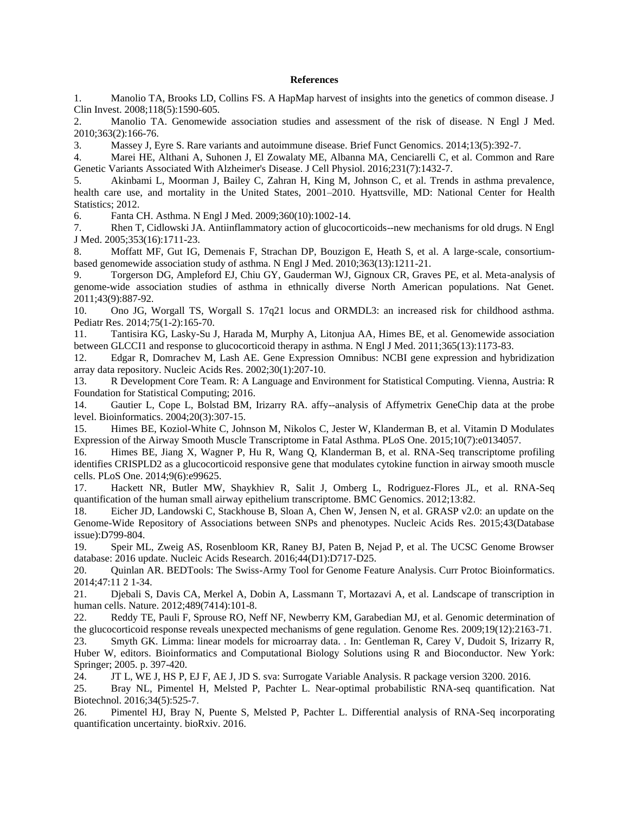#### **References**

1. Manolio TA, Brooks LD, Collins FS. A HapMap harvest of insights into the genetics of common disease. J Clin Invest. 2008;118(5):1590-605.

2. Manolio TA. Genomewide association studies and assessment of the risk of disease. N Engl J Med. 2010;363(2):166-76.

3. Massey J, Eyre S. Rare variants and autoimmune disease. Brief Funct Genomics. 2014;13(5):392-7.

4. Marei HE, Althani A, Suhonen J, El Zowalaty ME, Albanna MA, Cenciarelli C, et al. Common and Rare Genetic Variants Associated With Alzheimer's Disease. J Cell Physiol. 2016;231(7):1432-7.

5. Akinbami L, Moorman J, Bailey C, Zahran H, King M, Johnson C, et al. Trends in asthma prevalence, health care use, and mortality in the United States, 2001–2010. Hyattsville, MD: National Center for Health Statistics; 2012.

6. Fanta CH. Asthma. N Engl J Med. 2009;360(10):1002-14.

7. Rhen T, Cidlowski JA. Antiinflammatory action of glucocorticoids--new mechanisms for old drugs. N Engl J Med. 2005;353(16):1711-23.

8. Moffatt MF, Gut IG, Demenais F, Strachan DP, Bouzigon E, Heath S, et al. A large-scale, consortiumbased genomewide association study of asthma. N Engl J Med. 2010;363(13):1211-21.

9. Torgerson DG, Ampleford EJ, Chiu GY, Gauderman WJ, Gignoux CR, Graves PE, et al. Meta-analysis of genome-wide association studies of asthma in ethnically diverse North American populations. Nat Genet. 2011;43(9):887-92.

10. Ono JG, Worgall TS, Worgall S. 17q21 locus and ORMDL3: an increased risk for childhood asthma. Pediatr Res. 2014;75(1-2):165-70.

11. Tantisira KG, Lasky-Su J, Harada M, Murphy A, Litonjua AA, Himes BE, et al. Genomewide association between GLCCI1 and response to glucocorticoid therapy in asthma. N Engl J Med. 2011;365(13):1173-83.

12. Edgar R, Domrachev M, Lash AE. Gene Expression Omnibus: NCBI gene expression and hybridization array data repository. Nucleic Acids Res. 2002;30(1):207-10.

13. R Development Core Team. R: A Language and Environment for Statistical Computing. Vienna, Austria: R Foundation for Statistical Computing; 2016.

14. Gautier L, Cope L, Bolstad BM, Irizarry RA. affy--analysis of Affymetrix GeneChip data at the probe level. Bioinformatics. 2004;20(3):307-15.

15. Himes BE, Koziol-White C, Johnson M, Nikolos C, Jester W, Klanderman B, et al. Vitamin D Modulates Expression of the Airway Smooth Muscle Transcriptome in Fatal Asthma. PLoS One. 2015;10(7):e0134057.

16. Himes BE, Jiang X, Wagner P, Hu R, Wang Q, Klanderman B, et al. RNA-Seq transcriptome profiling identifies CRISPLD2 as a glucocorticoid responsive gene that modulates cytokine function in airway smooth muscle cells. PLoS One. 2014;9(6):e99625.

17. Hackett NR, Butler MW, Shaykhiev R, Salit J, Omberg L, Rodriguez-Flores JL, et al. RNA-Seq quantification of the human small airway epithelium transcriptome. BMC Genomics. 2012;13:82.

18. Eicher JD, Landowski C, Stackhouse B, Sloan A, Chen W, Jensen N, et al. GRASP v2.0: an update on the Genome-Wide Repository of Associations between SNPs and phenotypes. Nucleic Acids Res. 2015;43(Database issue):D799-804.

19. Speir ML, Zweig AS, Rosenbloom KR, Raney BJ, Paten B, Nejad P, et al. The UCSC Genome Browser database: 2016 update. Nucleic Acids Research. 2016;44(D1):D717-D25.

20. Quinlan AR. BEDTools: The Swiss-Army Tool for Genome Feature Analysis. Curr Protoc Bioinformatics. 2014;47:11 2 1-34.

21. Djebali S, Davis CA, Merkel A, Dobin A, Lassmann T, Mortazavi A, et al. Landscape of transcription in human cells. Nature. 2012;489(7414):101-8.

22. Reddy TE, Pauli F, Sprouse RO, Neff NF, Newberry KM, Garabedian MJ, et al. Genomic determination of the glucocorticoid response reveals unexpected mechanisms of gene regulation. Genome Res. 2009;19(12):2163-71.

23. Smyth GK. Limma: linear models for microarray data. . In: Gentleman R, Carey V, Dudoit S, Irizarry R, Huber W, editors. Bioinformatics and Computational Biology Solutions using R and Bioconductor. New York: Springer; 2005. p. 397-420.

24. JT L, WE J, HS P, EJ F, AE J, JD S. sva: Surrogate Variable Analysis. R package version 3200. 2016.

25. Bray NL, Pimentel H, Melsted P, Pachter L. Near-optimal probabilistic RNA-seq quantification. Nat Biotechnol. 2016;34(5):525-7.

26. Pimentel HJ, Bray N, Puente S, Melsted P, Pachter L. Differential analysis of RNA-Seq incorporating quantification uncertainty. bioRxiv. 2016.